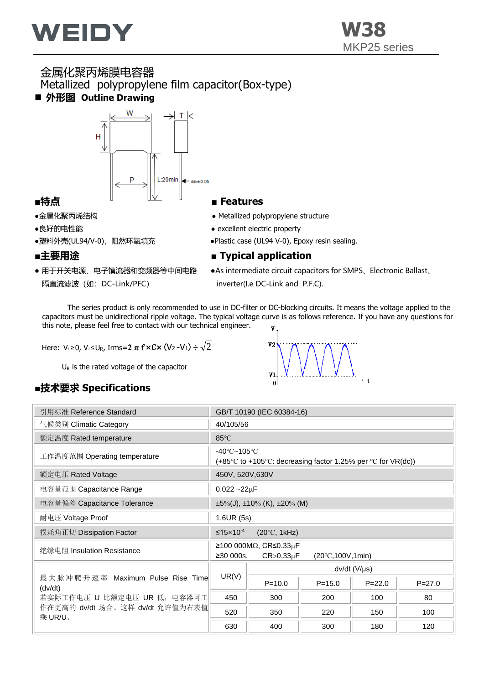

### 金属化聚丙烯膜电容器 Metallized polypropylene film capacitor(Box-type) ■ 外形图 Outline Drawing



- 
- 
- 

- 隔直流滤波(如: DC-Link/PFC) inverter(I.e DC-Link and P.F.C).
- ●金属化聚丙烯结构 Metallized polypropylene structure
- ●良好的电性能 excellent electric property
- ●塑料外壳(UL94/V-0), 阻然环氧填充 → → → Plastic case (UL94 V-0), Epoxy resin sealing.

#### ■主要用途 ■ Typical application

● 用于开关电源、电子镇流器和变频器等中间电路 ● As intermediate circuit capacitors for SMPS、Electronic Ballast、

 The series product is only recommended to use in DC-filter or DC-blocking circuits. It means the voltage applied to the capacitors must be unidirectional ripple voltage. The typical voltage curve is as follows reference. If you have any questions for this note, please feel free to contact with our technical engineer. V

Here: V1≥0, V2≤UR, Irms=**2 π** f**×**C**×**(V<sup>2</sup> -V1)÷ 2

 $U_R$  is the rated voltage of the capacitor

## **■技术要求 Specifications**

| 引用标准 Reference Standard                     | GB/T 10190 (IEC 60384-16)                                                                                  |                       |            |            |            |  |  |  |  |
|---------------------------------------------|------------------------------------------------------------------------------------------------------------|-----------------------|------------|------------|------------|--|--|--|--|
| 气候类别 Climatic Category                      | 40/105/56                                                                                                  |                       |            |            |            |  |  |  |  |
| 额定温度 Rated temperature                      | 85°C                                                                                                       |                       |            |            |            |  |  |  |  |
| 工作温度范围 Operating temperature                | $-40^{\circ}$ C $-105^{\circ}$ C<br>$(+85^{\circ}$ C to +105°C: decreasing factor 1.25% per °C for VR(dc)) |                       |            |            |            |  |  |  |  |
| 额定电压 Rated Voltage                          | 450V, 520V, 630V                                                                                           |                       |            |            |            |  |  |  |  |
| 电容量范围 Capacitance Range                     | $0.022 - 22 \mu F$                                                                                         |                       |            |            |            |  |  |  |  |
| 电容量偏差 Capacitance Tolerance                 | $\pm 5\%$ (J), $\pm 10\%$ (K), $\pm 20\%$ (M)                                                              |                       |            |            |            |  |  |  |  |
| 耐电压 Voltage Proof                           | 1.6UR (5s)                                                                                                 |                       |            |            |            |  |  |  |  |
| 损耗角正切 Dissipation Factor                    | $(20^{\circ}C, 1kHz)$<br>$\leq$ 15x10 <sup>-4</sup>                                                        |                       |            |            |            |  |  |  |  |
| 绝缘电阻 Insulation Resistance                  | $≥100000MΩ$ , CR≤0.33μF<br>≥30000s.<br>$CR > 0.33 \mu F$<br>$(20^{\circ}C, 100V, 1min)$                    |                       |            |            |            |  |  |  |  |
|                                             |                                                                                                            | $dv/dt$ (V/ $\mu s$ ) |            |            |            |  |  |  |  |
| 最大脉冲爬升速率 Maximum Pulse Rise Time<br>(dv/dt) | UR(V)                                                                                                      | $P = 10.0$            | $P = 15.0$ | $P = 22.0$ | $P = 27.0$ |  |  |  |  |
| 若实际工作电压 U 比额定电压 UR 低, 电容器可工                 | 450                                                                                                        | 300                   | 200        | 100        | 80         |  |  |  |  |
| 作在更高的 dv/dt 场合。这样 dv/dt 允许值为右表值<br>乘 UR/U。  | 520                                                                                                        | 350                   | 220        | 150        | 100        |  |  |  |  |
|                                             | 630                                                                                                        | 400                   | 300        | 180        | 120        |  |  |  |  |

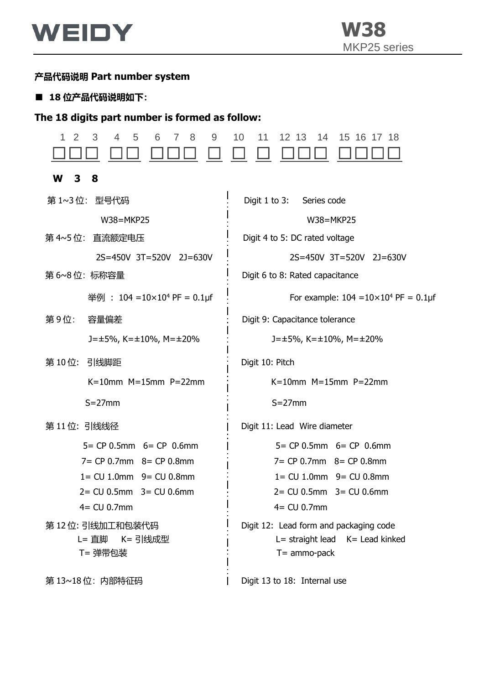

## **产品代码说明 Part number system**

### ■ 18 位产品代码说明如下:

# **The 18 digits part number is formed as follow:**

| 2<br>3<br>5<br>8<br>1<br>4<br>6<br>7<br>9     | 12 13<br>10<br>11<br>14<br>15 16 17 18                                                       |  |  |  |  |  |  |  |
|-----------------------------------------------|----------------------------------------------------------------------------------------------|--|--|--|--|--|--|--|
| W<br>3<br>8                                   |                                                                                              |  |  |  |  |  |  |  |
| 第 1~3位: 型号代码                                  | Digit $1$ to $3:$<br>Series code                                                             |  |  |  |  |  |  |  |
| W38=MKP25                                     | W38=MKP25                                                                                    |  |  |  |  |  |  |  |
| 第 4~5位: 直流额定电压                                | Digit 4 to 5: DC rated voltage                                                               |  |  |  |  |  |  |  |
| 2S=450V 3T=520V 2J=630V                       | 2S=450V 3T=520V 2J=630V                                                                      |  |  |  |  |  |  |  |
| 第 6~8位: 标称容量                                  | Digit 6 to 8: Rated capacitance                                                              |  |  |  |  |  |  |  |
| 举例: 104 = 10×10 <sup>4</sup> PF = 0.1µf       | For example: $104 = 10 \times 10^4$ PF = 0.1µf                                               |  |  |  |  |  |  |  |
| 第9位:<br>容量偏差                                  | Digit 9: Capacitance tolerance                                                               |  |  |  |  |  |  |  |
| $J = \pm 5\%$ , K= $\pm 10\%$ , M= $\pm 20\%$ | $J = \pm 5\%$ , K= $\pm 10\%$ , M= $\pm 20\%$                                                |  |  |  |  |  |  |  |
| 第10位: 引线脚距                                    | Digit 10: Pitch                                                                              |  |  |  |  |  |  |  |
| $K=10$ mm $M=15$ mm $P=22$ mm                 | $K=10$ mm $M=15$ mm $P=22$ mm                                                                |  |  |  |  |  |  |  |
| $S = 27$ mm                                   | $S = 27$ mm                                                                                  |  |  |  |  |  |  |  |
| 第11位: 引线线径                                    | Digit 11: Lead Wire diameter                                                                 |  |  |  |  |  |  |  |
| $5 = CP 0.5$ mm $6 = CP 0.6$ mm               | $5 = CP 0.5$ mm $6 = CP 0.6$ mm                                                              |  |  |  |  |  |  |  |
| $7 = CP 0.7$ mm $8 = CP 0.8$ mm               | $7 = CP 0.7$ mm $8 = CP 0.8$ mm                                                              |  |  |  |  |  |  |  |
| $1 = CU 1.0mm$ 9 = $CU 0.8mm$                 | 1= CU 1.0mm 9= CU 0.8mm                                                                      |  |  |  |  |  |  |  |
| $2 = CU 0.5mm$ 3 = $CU 0.6mm$                 | $2 = CU 0.5mm$ 3 = $CU 0.6mm$                                                                |  |  |  |  |  |  |  |
| $4 = CU 0.7mm$                                | $4 = CU 0.7$ mm                                                                              |  |  |  |  |  |  |  |
| 第 12 位: 引线加工和包装代码<br>L= 直脚 K= 引线成型<br>T= 弹带包装 | Digit 12: Lead form and packaging code<br>L= straight lead K= Lead kinked<br>$T =$ ammo-pack |  |  |  |  |  |  |  |
| 第13~18位: 内部特征码                                | Digit 13 to 18: Internal use                                                                 |  |  |  |  |  |  |  |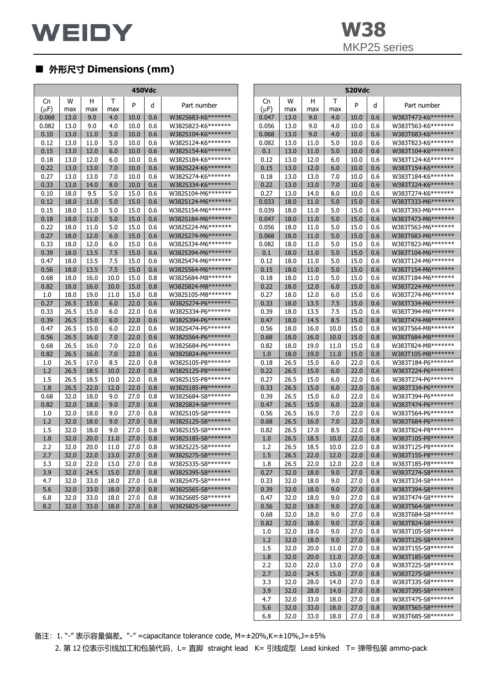2.7 32.0 24.5 15.0 27.0 0.8 W383T275-S8\*\*\*\*\*\*\* 3.3 32.0 28.0 14.0 27.0 0.8 W383T335-S8\*\*\*\*\*\*\*<br>3.9 32.0 28.0 14.0 27.0 0.8 W383T395-S8\*\*\*\*\*\*\* 32.0 28.0 14.0 27.0 0.8 W383T395-S8\*\*\*\*\*\*\* 4.7 32.0 33.0 38.0 27.0 0.8 W383T475-S8\*\*\*\*\*\*\* 5.6 32.0 33.0 18.0 27.0 0.8 W383T565-S8\*\*\*\*\*\*\* 6.8 32.0 33.0 18.0 27.0 0.8 W383T685-S8\*\*\*\*\*\*\*

## ■ **外形尺寸 Dimensions (mm)**

| <b>450Vdc</b> |      |      |      |      |     | 520Vdc              |           |      |                  |      |      |                |                       |
|---------------|------|------|------|------|-----|---------------------|-----------|------|------------------|------|------|----------------|-----------------------|
| Cn            | w    | H.   | T    |      |     |                     | Cn        | W    | H                | Т    |      |                |                       |
| $(\mu F)$     | max  | max  | max  | P    | d   | Part number         | $(\mu F)$ | max  | max              | max  | P    | d              | Part number           |
| 0.068         | 13.0 | 9.0  | 4.0  | 10.0 | 0.6 | W382S683-K6*******  | 0.047     | 13.0 | 9.0              | 4.0  | 10.0 | 0.6            | W383T473-K6*******    |
| 0.082         | 13.0 | 9.0  | 4.0  | 10.0 | 0.6 | W382S823-K6*******  | 0.056     | 13.0 | 9.0              | 4.0  | 10.0 | 0.6            | W383T563-K6*******    |
| 0.10          | 13.0 | 11.0 | 5.0  | 10.0 | 0.6 | W382S104-K6*******  | 0.068     | 13.0 | 9.0              | 4.0  | 10.0 | 0.6            | W383T683-K6*******    |
| 0.12          | 13.0 | 11.0 | 5.0  | 10.0 | 0.6 | W382S124-K6*******  | 0.082     | 13.0 | 11.0             | 5.0  | 10.0 | 0.6            | W383T823-K6*******    |
| 0.15          | 13.0 | 12.0 | 6.0  | 10.0 | 0.6 | W382S154-K6*******  | 0.1       | 13.0 | 11.0             | 5.0  | 10.0 | 0.6            | W383T104-K6*******    |
| 0.18          | 13.0 | 12.0 | 6.0  | 10.0 | 0.6 | W382S184-K6*******  | 0.12      | 13.0 | 12.0             | 6.0  | 10.0 | 0.6            | W383T124-K6*******    |
| 0.22          | 13.0 | 13.0 | 7.0  | 10.0 | 0.6 | W382S224-K6*******  | 0.15      | 13.0 | 12.0             | 6.0  | 10.0 | 0.6            | W383T154-K6*******    |
| 0.27          | 13.0 | 13.0 | 7.0  | 10.0 | 0.6 | W382S274-K6*******  | 0.18      | 13.0 | 13.0             | 7.0  | 10.0 | 0.6            | W383T184-K6*******    |
| 0.33          | 13.0 | 14.0 | 8.0  | 10.0 | 0.6 | W382S334-K6*******  | 0.22      | 13.0 | 13.0             | 7.0  | 10.0 | 0.6            | W383T224-K6*******    |
| 0.10          | 18.0 | 9.5  | 5.0  | 15.0 | 0.6 | W382S104-M6*******  | 0.27      | 13.0 | 14.0             | 8.0  | 10.0 | 0.6            | W383T274-K6*******    |
| 0.12          | 18.0 | 11.0 | 5.0  | 15.0 | 0.6 | W382S124-M6*******  | 0.033     | 18.0 | 11.0             | 5.0  | 15.0 | 0.6            | W383T333-M6*******    |
| 0.15          | 18.0 | 11.0 | 5.0  | 15.0 | 0.6 | W382S154-M6*******  | 0.039     | 18.0 | 11.0             | 5.0  | 15.0 | 0.6            | W383T393-M6*******    |
| 0.18          | 18.0 | 11.0 | 5.0  | 15.0 | 0.6 | W382S184-M6*******  | 0.047     | 18.0 | 11.0             | 5.0  | 15.0 | 0.6            | W383T473-M6*******    |
| 0.22          | 18.0 | 11.0 | 5.0  | 15.0 | 0.6 | W382S224-M6******** | 0.056     | 18.0 | 11.0             | 5.0  | 15.0 | 0.6            | W383T563-M6*******    |
| 0.27          | 18.0 | 12.0 | 6.0  | 15.0 | 0.6 | W382S274-M6*******  | 0.068     | 18.0 | 11.0             | 5.0  | 15.0 | 0.6            | W383T683-M6*******    |
| 0.33          | 18.0 | 12.0 | 6.0  | 15.0 | 0.6 | W382S334-M6*******  | 0.082     | 18.0 | 11.0             | 5.0  | 15.0 | 0.6            | W383T823-M6*******    |
| 0.39          | 18.0 | 13.5 | 7.5  | 15.0 | 0.6 | W382S394-M6*******  | 0.1       | 18.0 | 11.0             | 5.0  | 15.0 | 0.6            | W383T104-M6*******    |
| 0.47          | 18.0 | 13.5 | 7.5  | 15.0 | 0.6 | W382S474-M6*******  | 0.12      | 18.0 | 11.0             | 5.0  | 15.0 | 0.6            | W383T124-M6*******    |
| 0.56          | 18.0 | 13.5 | 7.5  | 15.0 | 0.6 | W382S564-M6*******  | 0.15      | 18.0 | 11.0             | 5.0  | 15.0 | 0.6            | W383T154-M6*******    |
| 0.68          | 18.0 | 16.0 | 10.0 | 15.0 | 0.8 | W382S684-M8*******  | 0.18      | 18.0 | 11.0             | 5.0  | 15.0 | 0.6            | W383T184-M6*******    |
| 0.82          | 18.0 | 16.0 | 10.0 | 15.0 | 0.8 | W382S824-M8*******  | 0.22      | 18.0 | 12.0             | 6.0  | 15.0 | 0.6            | W383T224-M6*******    |
| 1.0           | 18.0 | 19.0 | 11.0 | 15.0 | 0.8 | W382S105-M8*******  | 0.27      | 18.0 | 12.0             | 6.0  | 15.0 | 0.6            | W383T274-M6*******    |
| 0.27          | 26.5 | 15.0 | 6.0  | 22.0 | 0.6 | W382S274-P6*******  | 0.33      | 18.0 | 13.5             | 7.5  | 15.0 | 0.6            | W383T334-M6*******    |
| 0.33          | 26.5 | 15.0 | 6.0  | 22.0 | 0.6 | W382S334-P6*******  | 0.39      | 18.0 | 13.5             | 7.5  | 15.0 | 0.6            | W383T394-M6*******    |
| 0.39          | 26.5 | 15.0 | 6.0  | 22.0 | 0.6 | W382S394-P6*******  | 0.47      | 18.0 | 14.5             | 8.5  | 15.0 | 0.8            | W383T474-M8*******    |
| 0.47          | 26.5 | 15.0 | 6.0  | 22.0 | 0.6 | W382S474-P6*******  | 0.56      | 18.0 | 16.0             | 10.0 | 15.0 | 0.8            | W383T564-M8*******    |
| 0.56          | 26.5 | 16.0 | 7.0  | 22.0 | 0.6 | W382S564-P6*******  | 0.68      | 18.0 | 16.0             | 10.0 | 15.0 | 0.8            | W383T684-M8*******    |
| 0.68          | 26.5 | 16.0 | 7.0  | 22.0 | 0.6 | W382S684-P6*******  | 0.82      | 18.0 | 19.0             | 11.0 | 15.0 | 0.8            | W383T824-M8*******    |
| 0.82          | 26.5 | 16.0 | 7.0  | 22.0 | 0.6 | W382S824-P6*******  | 1.0       | 18.0 | 19.0             | 11.0 | 15.0 | 0.8            | W383T105-M8********   |
| 1.0           | 26.5 | 17.0 | 8.5  | 22.0 | 0.8 | W382S105-P8*******  | 0.18      | 26.5 | 15.0             | 6.0  | 22.0 | 0.6            | W383T184-P6*******    |
| 1.2           | 26.5 | 18.5 | 10.0 | 22.0 | 0.8 | W382S125-P8*******  | 0.22      | 26.5 | 15.0             | 6.0  | 22.0 | 0.6            | W383T224-P6*******    |
| 1.5           | 26.5 | 18.5 | 10.0 | 22.0 | 0.8 | W382S155-P8*******  | 0.27      | 26.5 | 15.0             | 6.0  | 22.0 | 0.6            | W383T274-P6*******    |
| 1.8           | 26.5 | 22.0 | 12.0 | 22.0 | 0.8 | W382S185-P8*******  | 0.33      | 26.5 | 15.0             | 6.0  | 22.0 | 0.6            | W383T334-P6*******    |
| 0.68          | 32.0 | 18.0 | 9.0  | 27.0 | 0.8 | W382S684-S8*******  | 0.39      | 26.5 | 15.0             | 6.0  | 22.0 | 0.6            | W383T394-P6*******    |
| 0.82          | 32.0 | 18.0 | 9.0  | 27.0 | 0.8 | W382S824-S8*******  | 0.47      | 26.5 | 15.0             | 6.0  | 22.0 | 0.6            | W383T474-P6*******    |
| 1.0           | 32.0 | 18.0 | 9.0  | 27.0 | 0.8 | W382S105-S8*******  | 0.56      | 26.5 | 16.0             | 7.0  | 22.0 | 0.6            | W383T564-P6*******    |
| 1.2           | 32.0 | 18.0 | 9.0  | 27.0 | 0.8 | W382S125-S8*******  | 0.68      | 26.5 | 16.0             | 7.0  | 22.0 | 0.6            | W383T684-P6*******    |
| 1.5           | 32.0 | 18.0 | 9.0  | 27.0 | 0.8 | W382S155-S8*******  | 0.82      | 26.5 | 17.0             | 8.5  | 22.0 | 0.8            | W383T824-P8*******    |
| 1.8           | 32.0 | 20.0 | 11.0 | 27.0 | 0.8 | W382S185-S8*******  | 1.0       | 26.5 | 18.5             | 10.0 | 22.0 | 0.8            | W383T105-P8*******    |
| 2.2           | 32.0 | 20.0 | 11.0 | 27.0 | 0.8 | W382S225-S8*******  | 1.2       | 26.5 | 18.5             | 10.0 | 22.0 | 0.8            | W383T125-P8*******    |
| 2.7           | 32.0 | 22.0 | 13.0 | 27.0 | 0.8 | W382S275-S8*******  | 1.5       | 26.5 | 22.0             | 12.0 | 22.0 | 0.8            | W383T155-P8*******    |
| 3.3           | 32.0 | 22.0 | 13.0 | 27.0 | 0.8 | W382S335-S8*******  | 1.8       | 26.5 | 22.0             | 12.0 | 22.0 | 0.8            | W383T185-P8*******    |
| 3.9           | 32.0 | 24.5 | 15.0 | 27.0 | 0.8 | W382S395-S8*******  | 0.27      | 32.0 | 18.0             | 9.0  | 27.0 | 0.8            | W383T274-S8*******    |
| 4.7           | 32.0 | 33.0 | 18.0 | 27.0 | 0.8 | W382S475-S8*******  | 0.33      | 32.0 | 18.0             | 9.0  | 27.0 | 0.8            | W383T334-S8*******    |
| 5.6           | 32.0 | 33.0 | 18.0 | 27.0 | 0.8 | W382S565-S8*******  | 0.39      | 32.0 | 18.0             | 9.0  | 27.0 | 0.8            | W383T394-S8*******    |
| 6.8           | 32.0 | 33.0 | 18.0 | 27.0 | 0.8 | W382S685-S8*******  | 0.47      | 32.0 | 18.0             | 9.0  | 27.0 | 0.8            | W383T474-S8*******    |
| 8.2           | 32.0 | 33.0 | 18.0 | 27.0 | 0.8 | W382S825-S8*******  | 0.56      | 32.0 | 18.0             | 9.0  | 27.0 | 0.8            | W383T564-S8*******    |
|               |      |      |      |      |     |                     | 0.68      | 32.0 | 18.0             | 9.0  | 27.0 | 0.8            | W383T684-S8*******    |
|               |      |      |      |      |     |                     | 0.82      | 32.0 | 18.0             | 9.0  | 27.0 | 0.8            | W383T824-S8*******    |
|               |      |      |      |      |     |                     | 1.0       | 32.0 | 18.0             | 9.0  | 27.0 | 0.8            | W383T105-S8*******    |
|               |      |      |      |      |     |                     | 1.2       | 32.0 | 18.0             | 9.0  | 27.0 | 0.8            | W383T125-S8*******    |
|               |      |      |      |      |     |                     | 1.5       | 32.0 | 20.0             | 11.0 | 27.0 | 0.8            | W383T155-S8*******    |
|               |      |      |      |      |     |                     | 1.8       | 32.0 | 20.0             | 11.0 | 27.0 | 0.8            | W383T185-S8*******    |
|               |      |      |      |      |     |                     | 2.2       | 32.0 | 22.0             | 13.0 | 27.0 | 0.8            | W383T225-S8*******    |
|               |      |      |      |      |     |                     | 2.7       | 32.0 | 24.5             | 15.0 | 27.0 | 0.8            | W383T275-S8*******    |
|               |      |      |      |      |     |                     | כפ        | ח רכ | 200 <sub>0</sub> | 140  | ח דר | $\cap$ $\circ$ | $M1202T22ECO********$ |

备注:1. "-" 表示容量偏差。"-" =capacitance tolerance code, M=±20%,K=±10%,J=±5%

2. 第 12 位表示引线加工和包装代码, L= 直脚 straight lead K= 引线成型 Lead kinked T= 弹带包装 ammo-pack